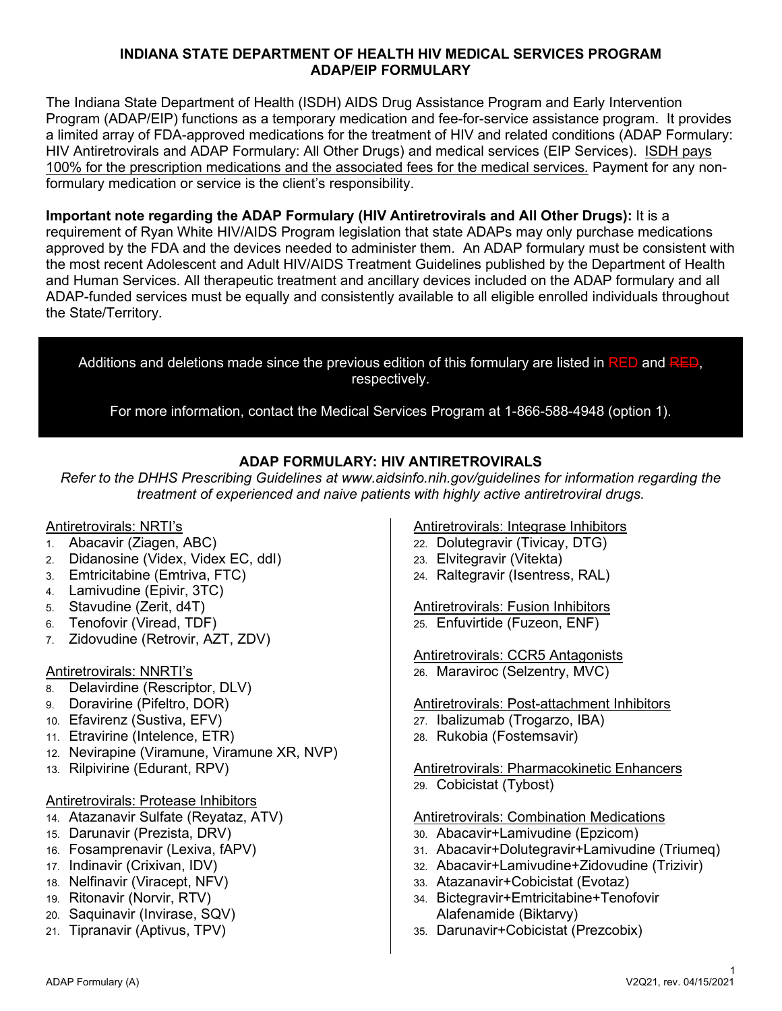#### **INDIANA STATE DEPARTMENT OF HEALTH HIV MEDICAL SERVICES PROGRAM ADAP/EIP FORMULARY**

The Indiana State Department of Health (ISDH) AIDS Drug Assistance Program and Early Intervention Program (ADAP/EIP) functions as a temporary medication and fee-for-service assistance program. It provides a limited array of FDA-approved medications for the treatment of HIV and related conditions (ADAP Formulary: HIV Antiretrovirals and ADAP Formulary: All Other Drugs) and medical services (EIP Services). ISDH pays 100% for the prescription medications and the associated fees for the medical services*.* Payment for any nonformulary medication or service is the client's responsibility.

**Important note regarding the ADAP Formulary (HIV Antiretrovirals and All Other Drugs):** It is a requirement of Ryan White HIV/AIDS Program legislation that state ADAPs may only purchase medications approved by the FDA and the devices needed to administer them. An ADAP formulary must be consistent with the most recent Adolescent and Adult HIV/AIDS Treatment Guidelines published by the Department of Health and Human Services. All therapeutic treatment and ancillary devices included on the ADAP formulary and all ADAP-funded services must be equally and consistently available to all eligible enrolled individuals throughout the State/Territory.

Additions and deletions made since the previous edition of this formulary are listed in RED and RED, respectively.

For more information, contact the Medical Services Program at 1-866-588-4948 (option 1).

#### **ADAP FORMULARY: HIV ANTIRETROVIRALS**

*Refer to the DHHS Prescribing Guidelines at www.aidsinfo.nih.gov/guidelines for information regarding the treatment of experienced and naive patients with highly active antiretroviral drugs.*

#### Antiretrovirals: NRTI's

- 1. Abacavir (Ziagen, ABC)
- 2. Didanosine (Videx, Videx EC, ddI)
- 3. Emtricitabine (Emtriva, FTC)
- 4. Lamivudine (Epivir, 3TC)
- 5. Stavudine (Zerit, d4T)
- 6. Tenofovir (Viread, TDF)
- 7. Zidovudine (Retrovir, AZT, ZDV)

#### Antiretrovirals: NNRTI's

- 8. Delavirdine (Rescriptor, DLV)
- 9. Doravirine (Pifeltro, DOR)
- 10. Efavirenz (Sustiva, EFV)
- 11. Etravirine (Intelence, ETR)
- 12. Nevirapine (Viramune, Viramune XR, NVP)
- 13. Rilpivirine (Edurant, RPV)
- Antiretrovirals: Protease Inhibitors
- 14. Atazanavir Sulfate (Reyataz, ATV)
- 15. Darunavir (Prezista, DRV)
- 16. Fosamprenavir (Lexiva, fAPV)
- 17. Indinavir (Crixivan, IDV)
- 18. Nelfinavir (Viracept, NFV)
- 19. Ritonavir (Norvir, RTV)
- 20. Saquinavir (Invirase, SQV)
- 21. Tipranavir (Aptivus, TPV)

Antiretrovirals: Integrase Inhibitors

- 22. Dolutegravir (Tivicay, DTG)
- 23. Elvitegravir (Vitekta)
- 24. Raltegravir (Isentress, RAL)

Antiretrovirals: Fusion Inhibitors 25. Enfuvirtide (Fuzeon, ENF)

Antiretrovirals: CCR5 Antagonists 26. Maraviroc (Selzentry, MVC)

Antiretrovirals: Post-attachment Inhibitors

- 27. Ibalizumab (Trogarzo, IBA)
- 28. Rukobia (Fostemsavir)

**Antiretrovirals: Pharmacokinetic Enhancers** 

29. Cobicistat (Tybost)

#### Antiretrovirals: Combination Medications

- 30. Abacavir+Lamivudine (Epzicom)
- 31. Abacavir+Dolutegravir+Lamivudine (Triumeq)
- 32. Abacavir+Lamivudine+Zidovudine (Trizivir)
- 33. Atazanavir+Cobicistat (Evotaz)
- 34. Bictegravir+Emtricitabine+Tenofovir Alafenamide (Biktarvy)
- 35. Darunavir+Cobicistat (Prezcobix)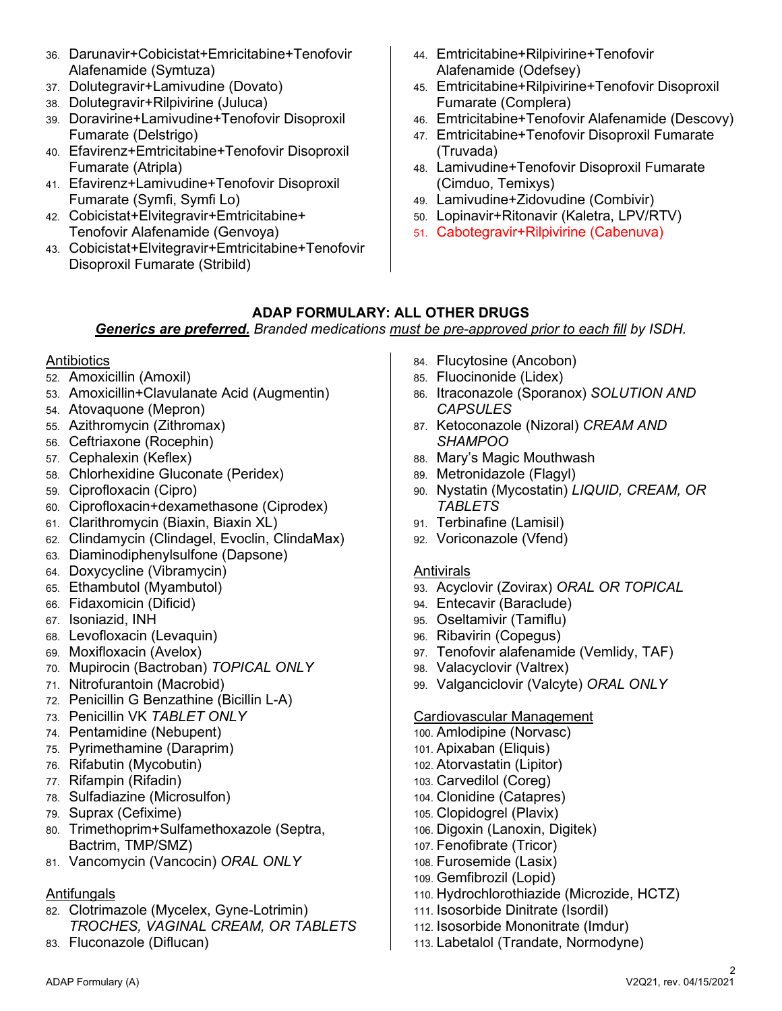- 36. Darunavir+Cobicistat+Emricitabine+Tenofovir Alafenamide (Symtuza)
- 37. Dolutegravir+Lamivudine (Dovato)
- 38. Dolutegravir+Rilpivirine (Juluca)
- 39. Doravirine+Lamivudine+Tenofovir Disoproxil Fumarate (Delstrigo)
- 40. Efavirenz+Emtricitabine+Tenofovir Disoproxil Fumarate (Atripla)
- 41. Efavirenz+Lamivudine+Tenofovir Disoproxil Fumarate (Symfi, Symfi Lo)
- 42. Cobicistat+Elvitegravir+Emtricitabine+ Tenofovir Alafenamide (Genvoya)
- 43. Cobicistat+Elvitegravir+Emtricitabine+Tenofovir Disoproxil Fumarate (Stribild)
- 44. Emtricitabine+Rilpivirine+Tenofovir Alafenamide (Odefsey)
- 45. Emtricitabine+Rilpivirine+Tenofovir Disoproxil Fumarate (Complera)
- 46. Emtricitabine+Tenofovir Alafenamide (Descovy)
- 47. Emtricitabine+Tenofovir Disoproxil Fumarate (Truvada)
- 48. Lamivudine+Tenofovir Disoproxil Fumarate (Cimduo, Temixys)
- 49. Lamivudine+Zidovudine (Combivir)
- 50. Lopinavir+Ritonavir (Kaletra, LPV/RTV)
- 51. Cabotegravir+Rilpivirine (Cabenuva)

# **ADAP FORMULARY: ALL OTHER DRUGS**

*Generics are preferred. Branded medications must be pre-approved prior to each fill by ISDH.* 

#### Antibiotics

- 52. Amoxicillin (Amoxil)
- 53. Amoxicillin+Clavulanate Acid (Augmentin)
- 54. Atovaquone (Mepron)
- 55. Azithromycin (Zithromax)
- 56. Ceftriaxone (Rocephin)
- 57. Cephalexin (Keflex)
- 58. Chlorhexidine Gluconate (Peridex)
- 59. Ciprofloxacin (Cipro)
- 60. Ciprofloxacin+dexamethasone (Ciprodex)
- 61. Clarithromycin (Biaxin, Biaxin XL)
- 62. Clindamycin (Clindagel, Evoclin, ClindaMax)
- 63. Diaminodiphenylsulfone (Dapsone)
- 64. Doxycycline (Vibramycin)
- 65. Ethambutol (Myambutol)
- 66. Fidaxomicin (Dificid)
- 67. Isoniazid, INH
- 68. Levofloxacin (Levaquin)
- 69. Moxifloxacin (Avelox)
- 70. Mupirocin (Bactroban) *TOPICAL ONLY*
- 71. Nitrofurantoin (Macrobid)
- 72. Penicillin G Benzathine (Bicillin L-A)
- 73. Penicillin VK *TABLET ONLY*
- 74. Pentamidine (Nebupent)
- 75. Pyrimethamine (Daraprim)
- 76. Rifabutin (Mycobutin)
- 77. Rifampin (Rifadin)
- 78. Sulfadiazine (Microsulfon)
- 79. Suprax (Cefixime)
- 80. Trimethoprim+Sulfamethoxazole (Septra, Bactrim, TMP/SMZ)
- 81. Vancomycin (Vancocin) *ORAL ONLY*

# Antifungals

- 82. Clotrimazole (Mycelex, Gyne-Lotrimin) *TROCHES, VAGINAL CREAM, OR TABLETS*
- 83. Fluconazole (Diflucan)
- 84. Flucytosine (Ancobon)
- 85. Fluocinonide (Lidex)
- 86. Itraconazole (Sporanox) *SOLUTION AND CAPSULES*
- 87. Ketoconazole (Nizoral) *CREAM AND SHAMPOO*
- 88. Mary's Magic Mouthwash
- 89. Metronidazole (Flagyl)
- 90. Nystatin (Mycostatin) *LIQUID, CREAM, OR TABLETS*
- 91. Terbinafine (Lamisil)
- 92. Voriconazole (Vfend)

# Antivirals

- 93. Acyclovir (Zovirax) *ORAL OR TOPICAL*
- 94. Entecavir (Baraclude)
- 95. Oseltamivir (Tamiflu)
- 96. Ribavirin (Copegus)
- 97. Tenofovir alafenamide (Vemlidy, TAF)
- 98. Valacyclovir (Valtrex)
- 99. Valganciclovir (Valcyte) *ORAL ONLY*

# Cardiovascular Management

- 100. Amlodipine (Norvasc)
- 101. Apixaban (Eliquis)
- 102. Atorvastatin (Lipitor)
- 103. Carvedilol (Coreg)
- 104. Clonidine (Catapres)
- 105. Clopidogrel (Plavix)
- 106. Digoxin (Lanoxin, Digitek)
- 107. Fenofibrate (Tricor)
- 108. Furosemide (Lasix)
- 109. Gemfibrozil (Lopid)
- 110. Hydrochlorothiazide (Microzide, HCTZ)
- 111. Isosorbide Dinitrate (Isordil)
- 112. Isosorbide Mononitrate (Imdur)
- 113. Labetalol (Trandate, Normodyne)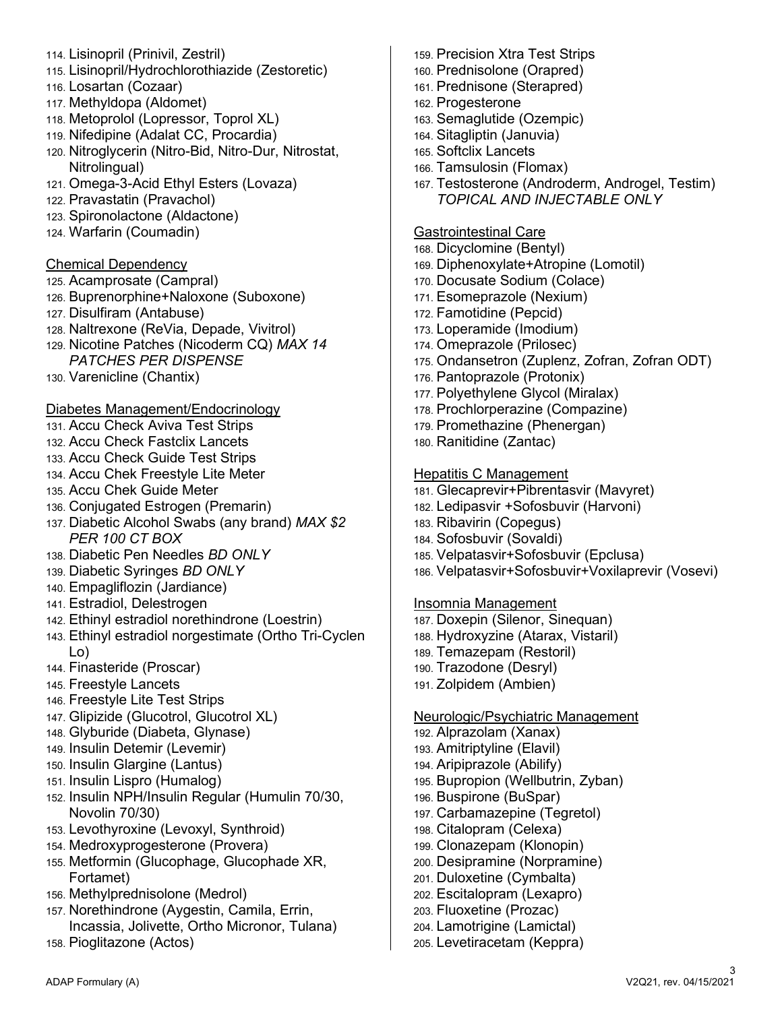- 114. Lisinopril (Prinivil, Zestril)
- 115. Lisinopril/Hydrochlorothiazide (Zestoretic)
- 116. Losartan (Cozaar)
- 117. Methyldopa (Aldomet)
- 118. Metoprolol (Lopressor, Toprol XL)
- 119. Nifedipine (Adalat CC, Procardia)
- 120. Nitroglycerin (Nitro-Bid, Nitro-Dur, Nitrostat, Nitrolingual)
- 121. Omega-3-Acid Ethyl Esters (Lovaza)
- 122. Pravastatin (Pravachol)
- 123. Spironolactone (Aldactone)
- 124. Warfarin (Coumadin)

#### Chemical Dependency

- 125. Acamprosate (Campral)
- 126. Buprenorphine+Naloxone (Suboxone)
- 127. Disulfiram (Antabuse)
- 128. Naltrexone (ReVia, Depade, Vivitrol)
- 129. Nicotine Patches (Nicoderm CQ) *MAX 14 PATCHES PER DISPENSE*
- 130. Varenicline (Chantix)

# Diabetes Management/Endocrinology

- 131. Accu Check Aviva Test Strips
- 132. Accu Check Fastclix Lancets
- 133. Accu Check Guide Test Strips
- 134. Accu Chek Freestyle Lite Meter
- 135. Accu Chek Guide Meter
- 136. Conjugated Estrogen (Premarin)
- 137. Diabetic Alcohol Swabs (any brand) *MAX \$2 PER 100 CT BOX*
- 138. Diabetic Pen Needles *BD ONLY*
- 139. Diabetic Syringes *BD ONLY*
- 140. Empagliflozin (Jardiance)
- 141. Estradiol, Delestrogen
- 142. Ethinyl estradiol norethindrone (Loestrin)
- 143. Ethinyl estradiol norgestimate (Ortho Tri-Cyclen Lo)
- 144. Finasteride (Proscar)
- 145. Freestyle Lancets
- 146. Freestyle Lite Test Strips
- 147. Glipizide (Glucotrol, Glucotrol XL)
- 148. Glyburide (Diabeta, Glynase)
- 149. Insulin Detemir (Levemir)
- 150. Insulin Glargine (Lantus)
- 151. Insulin Lispro (Humalog)
- 152. Insulin NPH/Insulin Regular (Humulin 70/30, Novolin 70/30)
- 153. Levothyroxine (Levoxyl, Synthroid)
- 154. Medroxyprogesterone (Provera)
- 155. Metformin (Glucophage, Glucophade XR, Fortamet)
- 156. Methylprednisolone (Medrol)
- 157. Norethindrone (Aygestin, Camila, Errin, Incassia, Jolivette, Ortho Micronor, Tulana)
- 158. Pioglitazone (Actos)
- 159. Precision Xtra Test Strips
- 160. Prednisolone (Orapred)
- 161. Prednisone (Sterapred)
- 162. Progesterone
- 163. Semaglutide (Ozempic)
- 164. Sitagliptin (Januvia)
- 165. Softclix Lancets
- 166. Tamsulosin (Flomax)
- 167. Testosterone (Androderm, Androgel, Testim) *TOPICAL AND INJECTABLE ONLY*

# Gastrointestinal Care

- 168. Dicyclomine (Bentyl)
- 169. Diphenoxylate+Atropine (Lomotil)
- 170. Docusate Sodium (Colace)
- 171. Esomeprazole (Nexium)
- 172. Famotidine (Pepcid)
- 173. Loperamide (Imodium)
- 174. Omeprazole (Prilosec)
- 175. Ondansetron (Zuplenz, Zofran, Zofran ODT)
- 176. Pantoprazole (Protonix)
- 177. Polyethylene Glycol (Miralax)
- 178. Prochlorperazine (Compazine)
- 179. Promethazine (Phenergan)
- 180. Ranitidine (Zantac)

# Hepatitis C Management

- 181. Glecaprevir+Pibrentasvir (Mavyret)
- 182. Ledipasvir +Sofosbuvir (Harvoni)
- 183. Ribavirin (Copegus)
- 184. Sofosbuvir (Sovaldi)
- 185. Velpatasvir+Sofosbuvir (Epclusa)
- 186. Velpatasvir+Sofosbuvir+Voxilaprevir (Vosevi)

# Insomnia Management

187. Doxepin (Silenor, Sinequan) 188. Hydroxyzine (Atarax, Vistaril) 189. Temazepam (Restoril) 190. Trazodone (Desryl) 191. Zolpidem (Ambien)

# Neurologic/Psychiatric Management

192. Alprazolam (Xanax) 193. Amitriptyline (Elavil) 194. Aripiprazole (Abilify) 195. Bupropion (Wellbutrin, Zyban) 196. Buspirone (BuSpar) 197. Carbamazepine (Tegretol) 198. Citalopram (Celexa) 199. Clonazepam (Klonopin) 200. Desipramine (Norpramine) 201. Duloxetine (Cymbalta) 202. Escitalopram (Lexapro) 203. Fluoxetine (Prozac) 204. Lamotrigine (Lamictal) 205. Levetiracetam (Keppra)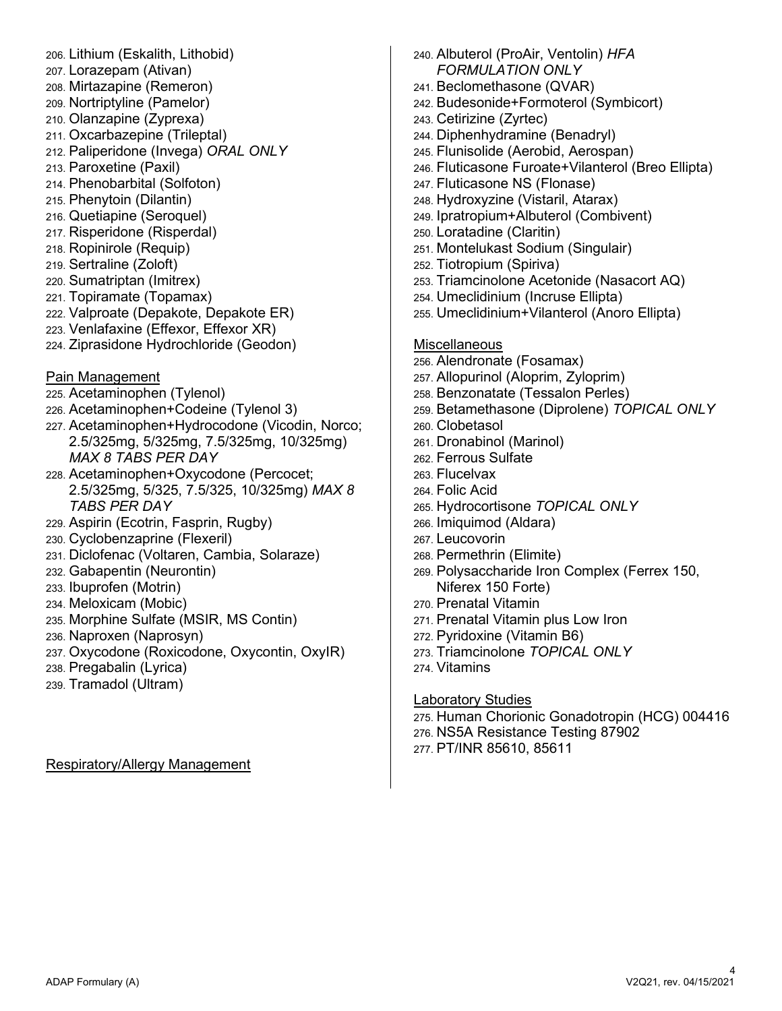206. Lithium (Eskalith, Lithobid) 207. Lorazepam (Ativan) 208. Mirtazapine (Remeron) 209. Nortriptyline (Pamelor) 210. Olanzapine (Zyprexa) 211. Oxcarbazepine (Trileptal) 212. Paliperidone (Invega) *ORAL ONLY* 213. Paroxetine (Paxil) 214. Phenobarbital (Solfoton) 215. Phenytoin (Dilantin) 216. Quetiapine (Seroquel) 217. Risperidone (Risperdal) 218. Ropinirole (Requip) 219. Sertraline (Zoloft) 220. Sumatriptan (Imitrex) 221. Topiramate (Topamax) 222. Valproate (Depakote, Depakote ER) 223. Venlafaxine (Effexor, Effexor XR) 224. Ziprasidone Hydrochloride (Geodon) Pain Management 225. Acetaminophen (Tylenol) 226. Acetaminophen+Codeine (Tylenol 3) 227. Acetaminophen+Hydrocodone (Vicodin, Norco; 2.5/325mg, 5/325mg, 7.5/325mg, 10/325mg) *MAX 8 TABS PER DAY* 228. Acetaminophen+Oxycodone (Percocet; 2.5/325mg, 5/325, 7.5/325, 10/325mg) *MAX 8 TABS PER DAY* 229. Aspirin (Ecotrin, Fasprin, Rugby) 230. Cyclobenzaprine (Flexeril) 231. Diclofenac (Voltaren, Cambia, Solaraze) 232. Gabapentin (Neurontin) 233. Ibuprofen (Motrin) 234. Meloxicam (Mobic) 235. Morphine Sulfate (MSIR, MS Contin) 236. Naproxen (Naprosyn) 237. Oxycodone (Roxicodone, Oxycontin, OxyIR) 238. Pregabalin (Lyrica) 239. Tramadol (Ultram)

Respiratory/Allergy Management

| 240. Albuterol (ProAir, Ventolin) HFA                                               |
|-------------------------------------------------------------------------------------|
| <b>FORMULATION ONLY</b>                                                             |
| 241. Beclomethasone (QVAR)                                                          |
| 242. Budesonide+Formoterol (Symbicort)                                              |
| 243. Cetirizine (Zyrtec)                                                            |
| 244. Diphenhydramine (Benadryl)                                                     |
| 245. Flunisolide (Aerobid, Aerospan)                                                |
| 246. Fluticasone Furoate+Vilanterol (Breo Ellipta)<br>247. Fluticasone NS (Flonase) |
| 248. Hydroxyzine (Vistaril, Atarax)                                                 |
| 249. Ipratropium+Albuterol (Combivent)                                              |
| 250. Loratadine (Claritin)                                                          |
| 251. Montelukast Sodium (Singulair)                                                 |
| 252. Tiotropium (Spiriva)                                                           |
| 253. Triamcinolone Acetonide (Nasacort AQ)                                          |
| 254. Umeclidinium (Incruse Ellipta)                                                 |
| 255. Umeclidinium+Vilanterol (Anoro Ellipta)                                        |
|                                                                                     |
| <b>Miscellaneous</b>                                                                |
| 256. Alendronate (Fosamax)                                                          |
| 257. Allopurinol (Aloprim, Zyloprim)                                                |
| 258. Benzonatate (Tessalon Perles)                                                  |
| 259. Betamethasone (Diprolene) TOPICAL ONLY                                         |
| 260. Clobetasol                                                                     |
| 261. Dronabinol (Marinol)                                                           |
| 262. Ferrous Sulfate                                                                |
| 263. Flucelvax                                                                      |
| <sub>264.</sub> Folic Acid                                                          |
| 265. Hydrocortisone TOPICAL ONLY                                                    |
| 266. Imiquimod (Aldara)                                                             |
| 267. Leucovorin                                                                     |
| 268. Permethrin (Elimite)                                                           |
| 269. Polysaccharide Iron Complex (Ferrex 150,                                       |
| Niferex 150 Forte)                                                                  |
| 270. Prenatal Vitamin                                                               |
| 271. Prenatal Vitamin plus Low Iron                                                 |
| 272. Pyridoxine (Vitamin B6)                                                        |
| 273. Triamcinolone TOPICAL ONLY                                                     |
| 274. Vitamins                                                                       |
| <b>Laboratory Studies</b>                                                           |
|                                                                                     |

276. NS5A Resistance Testing 87902 277. PT/INR 85610, 85611

275. Human Chorionic Gonadotropin (HCG) 004416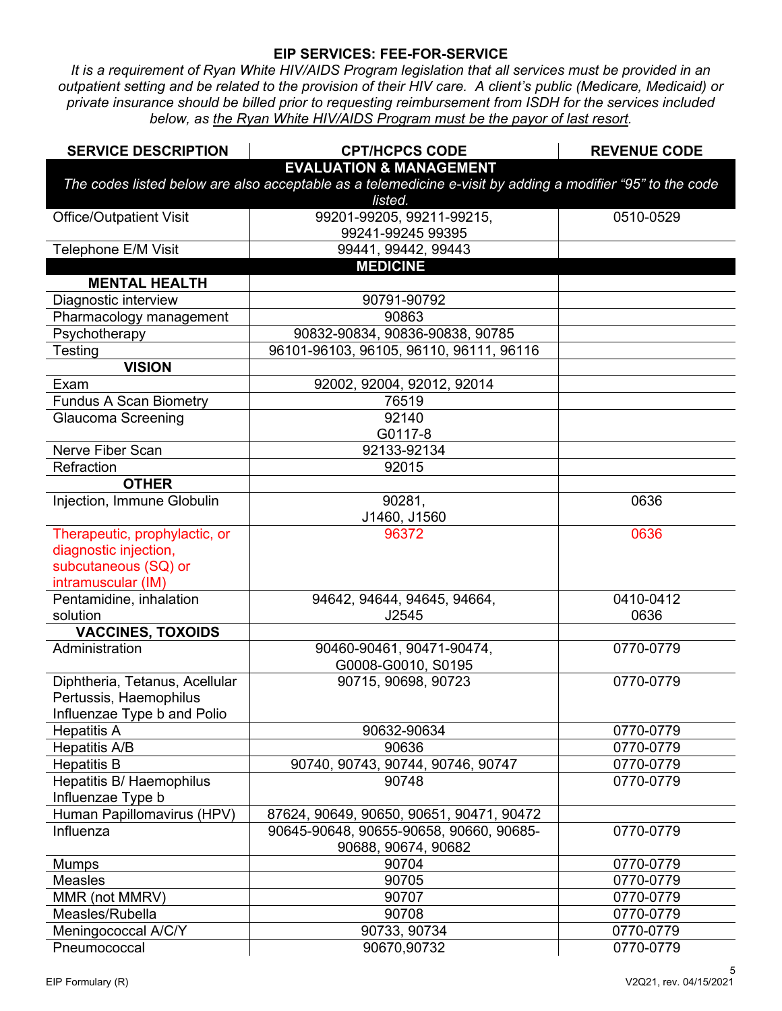#### **EIP SERVICES: FEE-FOR-SERVICE**

*It is a requirement of Ryan White HIV/AIDS Program legislation that all services must be provided in an outpatient setting and be related to the provision of their HIV care. A client's public (Medicare, Medicaid) or private insurance should be billed prior to requesting reimbursement from ISDH for the services included below, as the Ryan White HIV/AIDS Program must be the payor of last resort.*

| <b>SERVICE DESCRIPTION</b>     | <b>CPT/HCPCS CODE</b>                                                                                      | <b>REVENUE CODE</b> |
|--------------------------------|------------------------------------------------------------------------------------------------------------|---------------------|
|                                | <b>EVALUATION &amp; MANAGEMENT</b>                                                                         |                     |
|                                | The codes listed below are also acceptable as a telemedicine e-visit by adding a modifier "95" to the code |                     |
|                                | listed.                                                                                                    |                     |
| <b>Office/Outpatient Visit</b> | 99201-99205, 99211-99215,                                                                                  | 0510-0529           |
|                                | 99241-99245 99395                                                                                          |                     |
| Telephone E/M Visit            | 99441, 99442, 99443                                                                                        |                     |
|                                | <b>MEDICINE</b>                                                                                            |                     |
| <b>MENTAL HEALTH</b>           |                                                                                                            |                     |
| Diagnostic interview           | 90791-90792                                                                                                |                     |
| Pharmacology management        | 90863                                                                                                      |                     |
| Psychotherapy                  | 90832-90834, 90836-90838, 90785                                                                            |                     |
| Testing                        | 96101-96103, 96105, 96110, 96111, 96116                                                                    |                     |
| <b>VISION</b>                  |                                                                                                            |                     |
| Exam                           | 92002, 92004, 92012, 92014                                                                                 |                     |
| <b>Fundus A Scan Biometry</b>  | 76519                                                                                                      |                     |
| Glaucoma Screening             | 92140                                                                                                      |                     |
|                                | G0117-8                                                                                                    |                     |
| Nerve Fiber Scan               | 92133-92134                                                                                                |                     |
| Refraction                     | 92015                                                                                                      |                     |
| <b>OTHER</b>                   |                                                                                                            |                     |
| Injection, Immune Globulin     | 90281,                                                                                                     | 0636                |
|                                | J1460, J1560                                                                                               |                     |
| Therapeutic, prophylactic, or  | 96372                                                                                                      | 0636                |
| diagnostic injection,          |                                                                                                            |                     |
| subcutaneous (SQ) or           |                                                                                                            |                     |
| intramuscular (IM)             |                                                                                                            |                     |
| Pentamidine, inhalation        | 94642, 94644, 94645, 94664,                                                                                | 0410-0412           |
| solution                       | J2545                                                                                                      | 0636                |
| <b>VACCINES, TOXOIDS</b>       |                                                                                                            |                     |
| Administration                 | 90460-90461, 90471-90474,                                                                                  | 0770-0779           |
|                                | G0008-G0010, S0195                                                                                         |                     |
| Diphtheria, Tetanus, Acellular | 90715, 90698, 90723                                                                                        | 0770-0779           |
| Pertussis, Haemophilus         |                                                                                                            |                     |
| Influenzae Type b and Polio    |                                                                                                            |                     |
| <b>Hepatitis A</b>             | 90632-90634                                                                                                | 0770-0779           |
| Hepatitis A/B                  | 90636                                                                                                      | 0770-0779           |
| <b>Hepatitis B</b>             | 90740, 90743, 90744, 90746, 90747                                                                          | 0770-0779           |
| Hepatitis B/ Haemophilus       | 90748                                                                                                      | 0770-0779           |
| Influenzae Type b              |                                                                                                            |                     |
| Human Papillomavirus (HPV)     | 87624, 90649, 90650, 90651, 90471, 90472                                                                   |                     |
| Influenza                      | 90645-90648, 90655-90658, 90660, 90685-                                                                    | 0770-0779           |
|                                | 90688, 90674, 90682                                                                                        |                     |
| <b>Mumps</b>                   | 90704                                                                                                      | 0770-0779           |
| Measles                        | 90705                                                                                                      | 0770-0779           |
| MMR (not MMRV)                 | 90707                                                                                                      | 0770-0779           |
| Measles/Rubella                | 90708                                                                                                      | 0770-0779           |
| Meningococcal A/C/Y            | 90733, 90734                                                                                               | 0770-0779           |
| Pneumococcal                   | 90670,90732                                                                                                | 0770-0779           |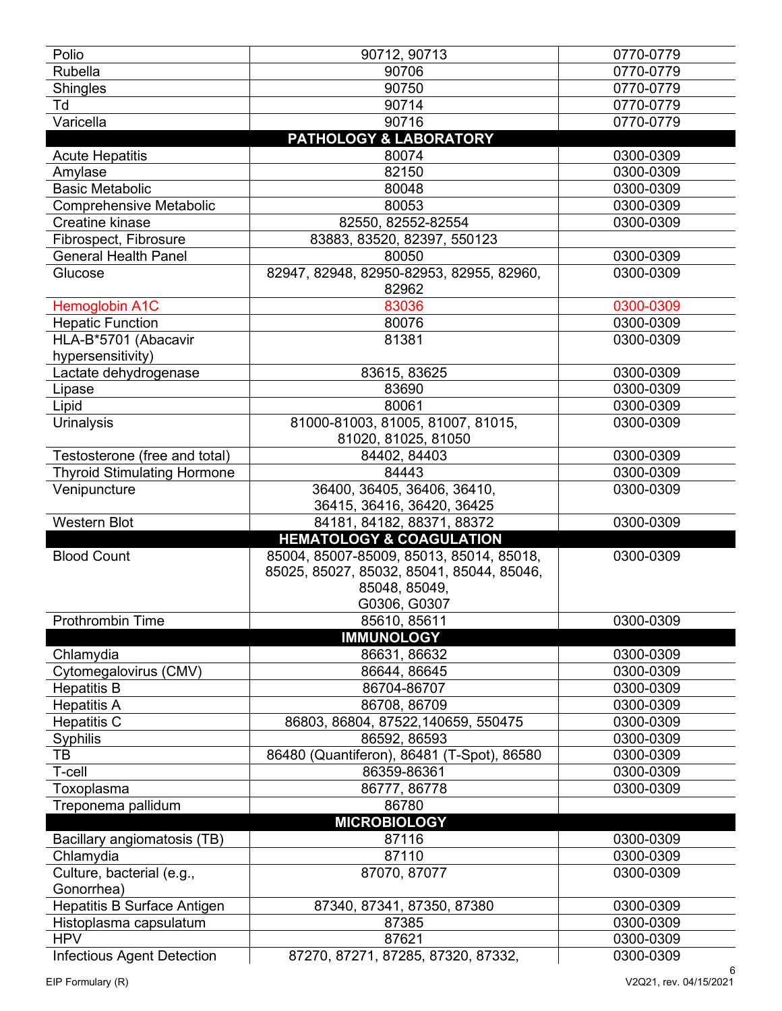| Polio                                           | 90712, 90713                                                                                                           | 0770-0779              |
|-------------------------------------------------|------------------------------------------------------------------------------------------------------------------------|------------------------|
| Rubella                                         | 90706                                                                                                                  | 0770-0779              |
| Shingles                                        | 90750                                                                                                                  | 0770-0779              |
| Td                                              | 90714                                                                                                                  | 0770-0779              |
| Varicella                                       | 90716                                                                                                                  | 0770-0779              |
|                                                 | <b>PATHOLOGY &amp; LABORATORY</b>                                                                                      |                        |
| <b>Acute Hepatitis</b>                          | 80074                                                                                                                  | 0300-0309              |
| Amylase                                         | 82150                                                                                                                  | 0300-0309              |
| <b>Basic Metabolic</b>                          | 80048                                                                                                                  | 0300-0309              |
| <b>Comprehensive Metabolic</b>                  | 80053                                                                                                                  | 0300-0309              |
| Creatine kinase                                 | 82550, 82552-82554                                                                                                     | 0300-0309              |
| Fibrospect, Fibrosure                           | 83883, 83520, 82397, 550123                                                                                            |                        |
| <b>General Health Panel</b>                     | 80050                                                                                                                  | 0300-0309              |
| Glucose                                         | 82947, 82948, 82950-82953, 82955, 82960,<br>82962                                                                      | 0300-0309              |
| Hemoglobin A1C                                  | 83036                                                                                                                  | 0300-0309              |
| <b>Hepatic Function</b>                         | 80076                                                                                                                  | 0300-0309              |
| HLA-B*5701 (Abacavir                            | 81381                                                                                                                  | 0300-0309              |
| hypersensitivity)                               |                                                                                                                        |                        |
| Lactate dehydrogenase                           | 83615, 83625                                                                                                           | 0300-0309              |
| Lipase                                          | 83690                                                                                                                  | 0300-0309              |
| Lipid                                           | 80061                                                                                                                  | 0300-0309              |
| Urinalysis                                      | 81000-81003, 81005, 81007, 81015,<br>81020, 81025, 81050                                                               | 0300-0309              |
| Testosterone (free and total)                   | 84402, 84403                                                                                                           | 0300-0309              |
| <b>Thyroid Stimulating Hormone</b>              | 84443                                                                                                                  | 0300-0309              |
| Venipuncture                                    | 36400, 36405, 36406, 36410,                                                                                            | 0300-0309              |
|                                                 | 36415, 36416, 36420, 36425                                                                                             |                        |
|                                                 |                                                                                                                        |                        |
| <b>Western Blot</b>                             | 84181, 84182, 88371, 88372                                                                                             | 0300-0309              |
|                                                 | <b>HEMATOLOGY &amp; COAGULATION</b>                                                                                    |                        |
| <b>Blood Count</b>                              | 85004, 85007-85009, 85013, 85014, 85018,<br>85025, 85027, 85032, 85041, 85044, 85046,<br>85048, 85049,<br>G0306, G0307 | 0300-0309              |
| <b>Prothrombin Time</b>                         | 85610, 85611                                                                                                           | 0300-0309              |
|                                                 | <b>IMMUNOLOGY</b>                                                                                                      |                        |
| Chlamydia                                       | 86631, 86632                                                                                                           | 0300-0309              |
| Cytomegalovirus (CMV)                           | 86644, 86645                                                                                                           | 0300-0309              |
| <b>Hepatitis B</b>                              | 86704-86707                                                                                                            | 0300-0309              |
| <b>Hepatitis A</b>                              | 86708, 86709                                                                                                           | 0300-0309              |
| <b>Hepatitis C</b>                              | 86803, 86804, 87522, 140659, 550475                                                                                    | 0300-0309              |
| Syphilis                                        | 86592, 86593                                                                                                           | 0300-0309              |
| TВ                                              | 86480 (Quantiferon), 86481 (T-Spot), 86580                                                                             | 0300-0309              |
| T-cell                                          | 86359-86361                                                                                                            | 0300-0309              |
| Toxoplasma                                      | 86777, 86778                                                                                                           | 0300-0309              |
| Treponema pallidum                              | 86780                                                                                                                  |                        |
|                                                 | <b>MICROBIOLOGY</b>                                                                                                    |                        |
| Bacillary angiomatosis (TB)                     | 87116                                                                                                                  | 0300-0309              |
| Chlamydia                                       | 87110                                                                                                                  | 0300-0309              |
| Culture, bacterial (e.g.,                       | 87070, 87077                                                                                                           | 0300-0309              |
| Gonorrhea)                                      |                                                                                                                        |                        |
| Hepatitis B Surface Antigen                     | 87340, 87341, 87350, 87380                                                                                             | 0300-0309              |
| Histoplasma capsulatum                          | 87385                                                                                                                  | 0300-0309              |
| <b>HPV</b><br><b>Infectious Agent Detection</b> | 87621<br>87270, 87271, 87285, 87320, 87332,                                                                            | 0300-0309<br>0300-0309 |